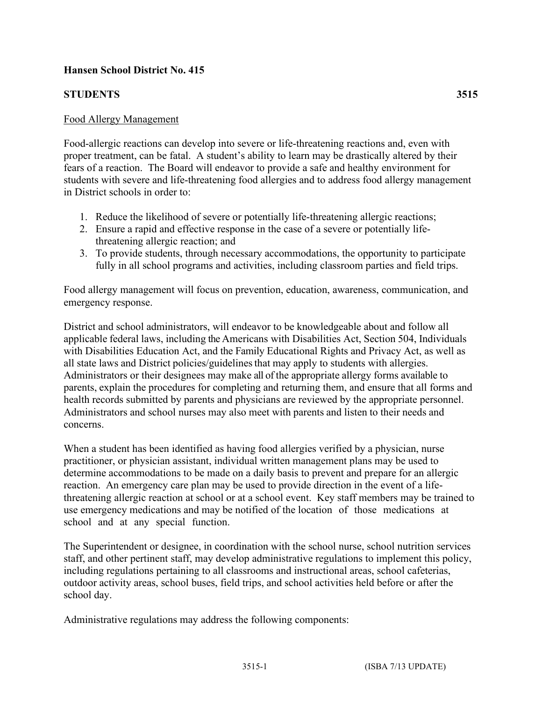## **Hansen School District No. 415**

## **STUDENTS 3515**

## Food Allergy Management

Food-allergic reactions can develop into severe or life-threatening reactions and, even with proper treatment, can be fatal. A student's ability to learn may be drastically altered by their fears of a reaction. The Board will endeavor to provide a safe and healthy environment for students with severe and life-threatening food allergies and to address food allergy management in District schools in order to:

- 1. Reduce the likelihood of severe or potentially life-threatening allergic reactions;
- 2. Ensure a rapid and effective response in the case of a severe or potentially lifethreatening allergic reaction; and
- 3. To provide students, through necessary accommodations, the opportunity to participate fully in all school programs and activities, including classroom parties and field trips.

Food allergy management will focus on prevention, education, awareness, communication, and emergency response.

District and school administrators, will endeavor to be knowledgeable about and follow all applicable federal laws, including the Americans with Disabilities Act, Section 504, Individuals with Disabilities Education Act, and the Family Educational Rights and Privacy Act, as well as all state laws and District policies/guidelines that may apply to students with allergies. Administrators or their designees may make all of the appropriate allergy forms available to parents, explain the procedures for completing and returning them, and ensure that all forms and health records submitted by parents and physicians are reviewed by the appropriate personnel. Administrators and school nurses may also meet with parents and listen to their needs and concerns.

When a student has been identified as having food allergies verified by a physician, nurse practitioner, or physician assistant, individual written management plans may be used to determine accommodations to be made on a daily basis to prevent and prepare for an allergic reaction. An emergency care plan may be used to provide direction in the event of a lifethreatening allergic reaction at school or at a school event. Key staff members may be trained to use emergency medications and may be notified of the location of those medications at school and at any special function.

The Superintendent or designee, in coordination with the school nurse, school nutrition services staff, and other pertinent staff, may develop administrative regulations to implement this policy, including regulations pertaining to all classrooms and instructional areas, school cafeterias, outdoor activity areas, school buses, field trips, and school activities held before or after the school day.

Administrative regulations may address the following components: